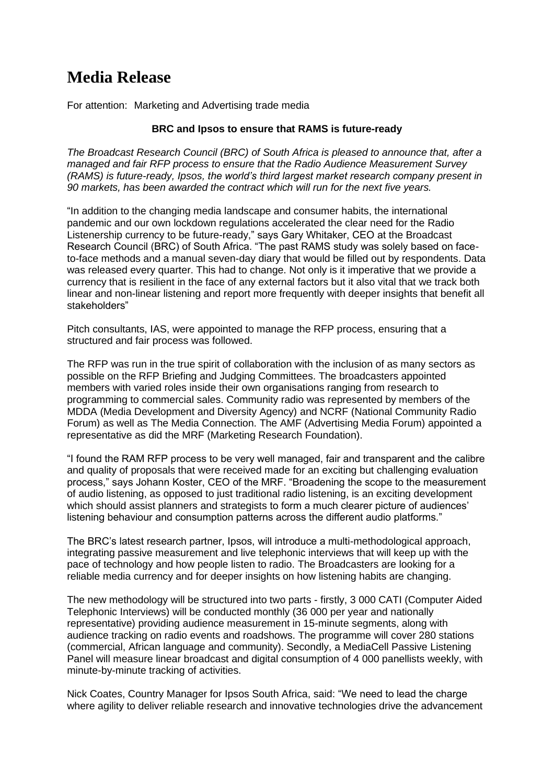## **Media Release**

For attention: Marketing and Advertising trade media

## **BRC and Ipsos to ensure that RAMS is future-ready**

*The Broadcast Research Council (BRC) of South Africa is pleased to announce that, after a managed and fair RFP process to ensure that the Radio Audience Measurement Survey (RAMS) is future-ready, Ipsos, the world's third largest market research company present in 90 markets, has been awarded the contract which will run for the next five years.*

"In addition to the changing media landscape and consumer habits, the international pandemic and our own lockdown regulations accelerated the clear need for the Radio Listenership currency to be future-ready," says Gary Whitaker, CEO at the Broadcast Research Council (BRC) of South Africa. "The past RAMS study was solely based on faceto-face methods and a manual seven-day diary that would be filled out by respondents. Data was released every quarter. This had to change. Not only is it imperative that we provide a currency that is resilient in the face of any external factors but it also vital that we track both linear and non-linear listening and report more frequently with deeper insights that benefit all stakeholders"

Pitch consultants, IAS, were appointed to manage the RFP process, ensuring that a structured and fair process was followed.

The RFP was run in the true spirit of collaboration with the inclusion of as many sectors as possible on the RFP Briefing and Judging Committees. The broadcasters appointed members with varied roles inside their own organisations ranging from research to programming to commercial sales. Community radio was represented by members of the MDDA (Media Development and Diversity Agency) and NCRF (National Community Radio Forum) as well as The Media Connection. The AMF (Advertising Media Forum) appointed a representative as did the MRF (Marketing Research Foundation).

"I found the RAM RFP process to be very well managed, fair and transparent and the calibre and quality of proposals that were received made for an exciting but challenging evaluation process," says Johann Koster, CEO of the MRF. "Broadening the scope to the measurement of audio listening, as opposed to just traditional radio listening, is an exciting development which should assist planners and strategists to form a much clearer picture of audiences' listening behaviour and consumption patterns across the different audio platforms."

The BRC's latest research partner, Ipsos, will introduce a multi-methodological approach, integrating passive measurement and live telephonic interviews that will keep up with the pace of technology and how people listen to radio. The Broadcasters are looking for a reliable media currency and for deeper insights on how listening habits are changing.

The new methodology will be structured into two parts - firstly, 3 000 CATI (Computer Aided Telephonic Interviews) will be conducted monthly (36 000 per year and nationally representative) providing audience measurement in 15-minute segments, along with audience tracking on radio events and roadshows. The programme will cover 280 stations (commercial, African language and community). Secondly, a MediaCell Passive Listening Panel will measure linear broadcast and digital consumption of 4 000 panellists weekly, with minute-by-minute tracking of activities.

Nick Coates, Country Manager for Ipsos South Africa, said: "We need to lead the charge where agility to deliver reliable research and innovative technologies drive the advancement